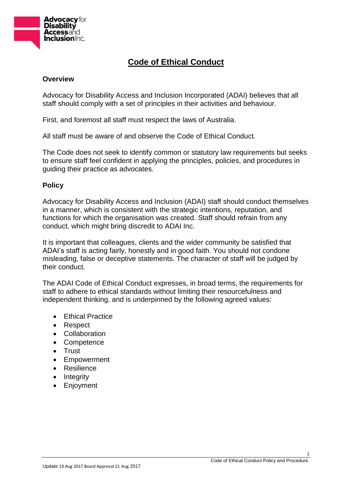

# **Code of Ethical Conduct**

#### **Overview**

Advocacy for Disability Access and Inclusion Incorporated (ADAI) believes that all staff should comply with a set of principles in their activities and behaviour.

First, and foremost all staff must respect the laws of Australia.

All staff must be aware of and observe the Code of Ethical Conduct.

The Code does not seek to identify common or statutory law requirements but seeks to ensure staff feel confident in applying the principles, policies, and procedures in guiding their practice as advocates.

## **Policy**

Advocacy for Disability Access and Inclusion (ADAI) staff should conduct themselves in a manner, which is consistent with the strategic intentions, reputation, and functions for which the organisation was created. Staff should refrain from any conduct, which might bring discredit to ADAI Inc.

It is important that colleagues, clients and the wider community be satisfied that ADAI's staff is acting fairly, honestly and in good faith. You should not condone misleading, false or deceptive statements. The character of staff will be judged by their conduct.

The ADAI Code of Ethical Conduct expresses, in broad terms, the requirements for staff to adhere to ethical standards without limiting their resourcefulness and independent thinking, and is underpinned by the following agreed values:

- **•** Ethical Practice
- Respect
- Collaboration
- Competence
- Trust
- Empowerment
- Resilience
- Integrity
- Enjoyment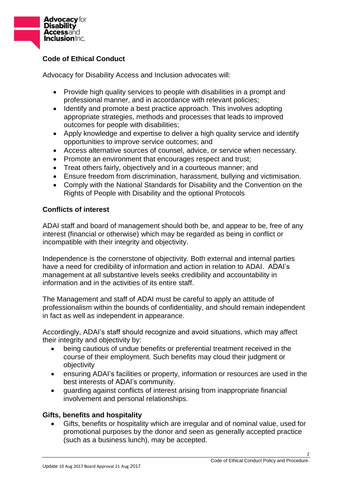

# **Code of Ethical Conduct**

Advocacy for Disability Access and Inclusion advocates will:

- Provide high quality services to people with disabilities in a prompt and professional manner, and in accordance with relevant policies;
- Identify and promote a best practice approach. This involves adopting appropriate strategies, methods and processes that leads to improved outcomes for people with disabilities;
- Apply knowledge and expertise to deliver a high quality service and identify opportunities to improve service outcomes; and
- Access alternative sources of counsel, advice, or service when necessary.
- Promote an environment that encourages respect and trust;
- Treat others fairly, objectively and in a courteous manner; and
- Ensure freedom from discrimination, harassment, bullying and victimisation.
- Comply with the National Standards for Disability and the Convention on the Rights of People with Disability and the optional Protocols

# **Conflicts of interest**

ADAI staff and board of management should both be, and appear to be, free of any interest (financial or otherwise) which may be regarded as being in conflict or incompatible with their integrity and objectivity.

Independence is the cornerstone of objectivity. Both external and internal parties have a need for credibility of information and action in relation to ADAI. ADAI's management at all substantive levels seeks credibility and accountability in information and in the activities of its entire staff.

The Management and staff of ADAI must be careful to apply an attitude of professionalism within the bounds of confidentiality, and should remain independent in fact as well as independent in appearance.

Accordingly, ADAI's staff should recognize and avoid situations, which may affect their integrity and objectivity by:

- being cautious of undue benefits or preferential treatment received in the course of their employment. Such benefits may cloud their judgment or objectivity
- ensuring ADAI's facilities or property, information or resources are used in the best interests of ADAI's community.
- guarding against conflicts of interest arising from inappropriate financial involvement and personal relationships.

## **Gifts, benefits and hospitality**

 Gifts, benefits or hospitality which are irregular and of nominal value, used for promotional purposes by the donor and seen as generally accepted practice (such as a business lunch), may be accepted.

2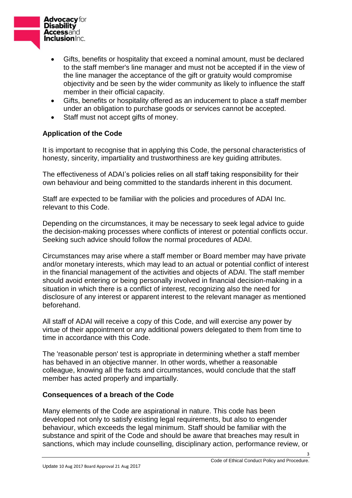

- Gifts, benefits or hospitality that exceed a nominal amount, must be declared to the staff member's line manager and must not be accepted if in the view of the line manager the acceptance of the gift or gratuity would compromise objectivity and be seen by the wider community as likely to influence the staff member in their official capacity.
- Gifts, benefits or hospitality offered as an inducement to place a staff member under an obligation to purchase goods or services cannot be accepted.
- Staff must not accept gifts of money.

# **Application of the Code**

It is important to recognise that in applying this Code, the personal characteristics of honesty, sincerity, impartiality and trustworthiness are key guiding attributes.

The effectiveness of ADAI's policies relies on all staff taking responsibility for their own behaviour and being committed to the standards inherent in this document.

Staff are expected to be familiar with the policies and procedures of ADAI Inc. relevant to this Code.

Depending on the circumstances, it may be necessary to seek legal advice to guide the decision-making processes where conflicts of interest or potential conflicts occur. Seeking such advice should follow the normal procedures of ADAI.

Circumstances may arise where a staff member or Board member may have private and/or monetary interests, which may lead to an actual or potential conflict of interest in the financial management of the activities and objects of ADAI. The staff member should avoid entering or being personally involved in financial decision-making in a situation in which there is a conflict of interest, recognizing also the need for disclosure of any interest or apparent interest to the relevant manager as mentioned beforehand.

All staff of ADAI will receive a copy of this Code, and will exercise any power by virtue of their appointment or any additional powers delegated to them from time to time in accordance with this Code.

The 'reasonable person' test is appropriate in determining whether a staff member has behaved in an objective manner. In other words, whether a reasonable colleague, knowing all the facts and circumstances, would conclude that the staff member has acted properly and impartially.

## **Consequences of a breach of the Code**

Many elements of the Code are aspirational in nature. This code has been developed not only to satisfy existing legal requirements, but also to engender behaviour, which exceeds the legal minimum. Staff should be familiar with the substance and spirit of the Code and should be aware that breaches may result in sanctions, which may include counselling, disciplinary action, performance review, or

3